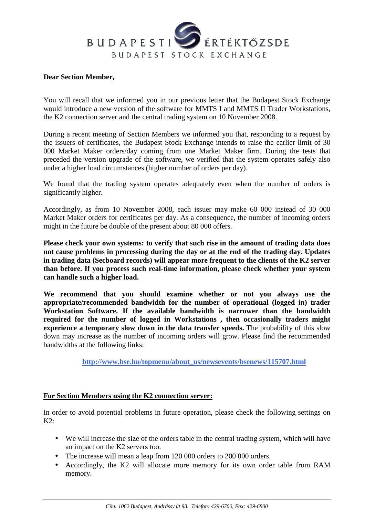## BUDAPESTI ÉRTÉKTŐZSDE BUDAPEST STOCK EXCHANGE

## **Dear Section Member,**

You will recall that we informed you in our previous letter that the Budapest Stock Exchange would introduce a new version of the software for MMTS I and MMTS II Trader Workstations, the K2 connection server and the central trading system on 10 November 2008.

During a recent meeting of Section Members we informed you that, responding to a request by the issuers of certificates, the Budapest Stock Exchange intends to raise the earlier limit of 30 000 Market Maker orders/day coming from one Market Maker firm. During the tests that preceded the version upgrade of the software, we verified that the system operates safely also under a higher load circumstances (higher number of orders per day).

We found that the trading system operates adequately even when the number of orders is significantly higher.

Accordingly, as from 10 November 2008, each issuer may make 60 000 instead of 30 000 Market Maker orders for certificates per day. As a consequence, the number of incoming orders might in the future be double of the present about 80 000 offers.

**Please check your own systems: to verify that such rise in the amount of trading data does not cause problems in processing during the day or at the end of the trading day. Updates in trading data (Secboard records) will appear more frequent to the clients of the K2 server than before. If you process such real-time information, please check whether your system can handle such a higher load.** 

**We recommend that you should examine whether or not you always use the appropriate/recommended bandwidth for the number of operational (logged in) trader Workstation Software. If the available bandwidth is narrower than the bandwidth required for the number of logged in Workstations , then occasionally traders might experience a temporary slow down in the data transfer speeds.** The probability of this slow down may increase as the number of incoming orders will grow. Please find the recommended bandwidths at the following links:

 **http://www.bse.hu/topmenu/about\_us/newsevents/bsenews/115707.html**

## **For Section Members using the K2 connection server:**

In order to avoid potential problems in future operation, please check the following settings on  $K2$ .

- We will increase the size of the orders table in the central trading system, which will have an impact on the K2 servers too.
- The increase will mean a leap from 120 000 orders to 200 000 orders.
- Accordingly, the K2 will allocate more memory for its own order table from RAM memory.